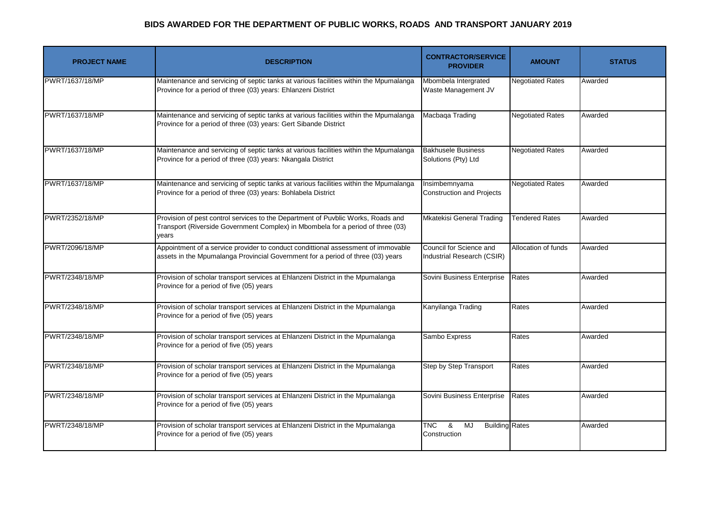| <b>PROJECT NAME</b> | <b>DESCRIPTION</b>                                                                                                                                                           | <b>CONTRACTOR/SERVICE</b><br><b>PROVIDER</b>                                       | <b>AMOUNT</b>           | <b>STATUS</b> |
|---------------------|------------------------------------------------------------------------------------------------------------------------------------------------------------------------------|------------------------------------------------------------------------------------|-------------------------|---------------|
| PWRT/1637/18/MP     | Maintenance and servicing of septic tanks at various facilities within the Mpumalanga<br>Province for a period of three (03) years: Ehlanzeni District                       | Mbombela Intergrated<br>Waste Management JV                                        | <b>Negotiated Rates</b> | Awarded       |
| PWRT/1637/18/MP     | Maintenance and servicing of septic tanks at various facilities within the Mpumalanga<br>Province for a period of three (03) years: Gert Sibande District                    | Macbaqa Trading                                                                    | <b>Negotiated Rates</b> | Awarded       |
| PWRT/1637/18/MP     | Maintenance and servicing of septic tanks at various facilities within the Mpumalanga<br>Province for a period of three (03) years: Nkangala District                        | <b>Bakhusele Business</b><br>Solutions (Pty) Ltd                                   | <b>Negotiated Rates</b> | Awarded       |
| PWRT/1637/18/MP     | Maintenance and servicing of septic tanks at various facilities within the Mpumalanga<br>Province for a period of three (03) years: Bohlabela District                       | Insimbemnyama<br><b>Construction and Projects</b>                                  | <b>Negotiated Rates</b> | Awarded       |
| PWRT/2352/18/MP     | Provision of pest control services to the Department of Puvblic Works, Roads and<br>Transport (Riverside Government Complex) in Mbombela for a period of three (03)<br>vears | <b>Mkatekisi General Trading</b>                                                   | <b>Tendered Rates</b>   | Awarded       |
| PWRT/2096/18/MP     | Appointment of a service provider to conduct condittional assessment of immovable<br>assets in the Mpumalanga Provincial Government for a period of three (03) years         | Council for Science and<br>Industrial Research (CSIR)                              | Allocation of funds     | Awarded       |
| PWRT/2348/18/MP     | Provision of scholar transport services at Ehlanzeni District in the Mpumalanga<br>Province for a period of five (05) years                                                  | Sovini Business Enterprise                                                         | Rates                   | Awarded       |
| PWRT/2348/18/MP     | Provision of scholar transport services at Ehlanzeni District in the Mpumalanga<br>Province for a period of five (05) years                                                  | Kanyilanga Trading                                                                 | Rates                   | Awarded       |
| PWRT/2348/18/MP     | Provision of scholar transport services at Ehlanzeni District in the Mpumalanga<br>Province for a period of five (05) years                                                  | Sambo Express                                                                      | Rates                   | Awarded       |
| PWRT/2348/18/MP     | Provision of scholar transport services at Ehlanzeni District in the Mpumalanga<br>Province for a period of five (05) years                                                  | Step by Step Transport                                                             | Rates                   | Awarded       |
| PWRT/2348/18/MP     | Provision of scholar transport services at Ehlanzeni District in the Mpumalanga<br>Province for a period of five (05) years                                                  | Sovini Business Enterprise                                                         | Rates                   | Awarded       |
| PWRT/2348/18/MP     | Provision of scholar transport services at Ehlanzeni District in the Mpumalanga<br>Province for a period of five (05) years                                                  | $\overline{\text{TNC}}$<br>$\infty$<br>MJ<br><b>Building Rates</b><br>Construction |                         | Awarded       |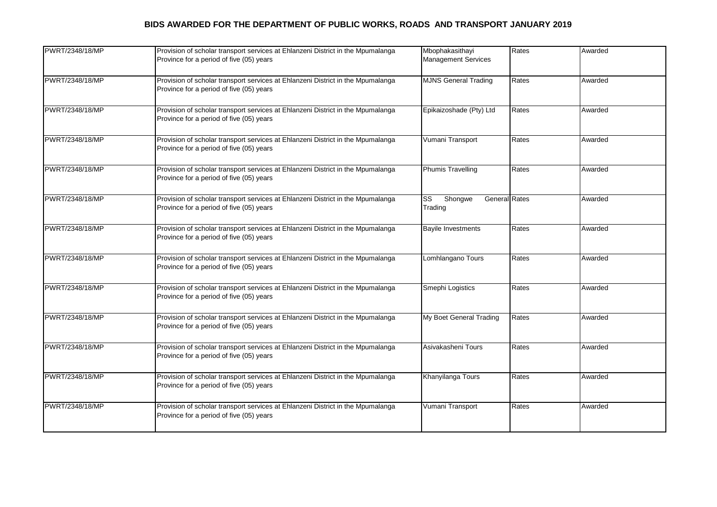| PWRT/2348/18/MP | Provision of scholar transport services at Ehlanzeni District in the Mpumalanga<br>Province for a period of five (05) years | Mbophakasithayi<br><b>Management Services</b>                        | Rates | Awarded |
|-----------------|-----------------------------------------------------------------------------------------------------------------------------|----------------------------------------------------------------------|-------|---------|
| PWRT/2348/18/MP | Provision of scholar transport services at Ehlanzeni District in the Mpumalanga<br>Province for a period of five (05) years | <b>MJNS General Trading</b>                                          | Rates | Awarded |
| PWRT/2348/18/MP | Provision of scholar transport services at Ehlanzeni District in the Mpumalanga<br>Province for a period of five (05) years | Epikaizoshade (Pty) Ltd                                              | Rates | Awarded |
| PWRT/2348/18/MP | Provision of scholar transport services at Ehlanzeni District in the Mpumalanga<br>Province for a period of five (05) years | Vumani Transport                                                     | Rates | Awarded |
| PWRT/2348/18/MP | Provision of scholar transport services at Ehlanzeni District in the Mpumalanga<br>Province for a period of five (05) years | <b>Phumis Travelling</b>                                             | Rates | Awarded |
| PWRT/2348/18/MP | Provision of scholar transport services at Ehlanzeni District in the Mpumalanga<br>Province for a period of five (05) years | Shongwe<br>$\overline{\text{SS}}$<br><b>General</b> Rates<br>Trading |       | Awarded |
| PWRT/2348/18/MP | Provision of scholar transport services at Ehlanzeni District in the Mpumalanga<br>Province for a period of five (05) years | <b>Bayile Investments</b>                                            | Rates | Awarded |
| PWRT/2348/18/MP | Provision of scholar transport services at Ehlanzeni District in the Mpumalanga<br>Province for a period of five (05) years | Lomhlangano Tours                                                    | Rates | Awarded |
| PWRT/2348/18/MP | Provision of scholar transport services at Ehlanzeni District in the Mpumalanga<br>Province for a period of five (05) years | Smephi Logistics                                                     | Rates | Awarded |
| PWRT/2348/18/MP | Provision of scholar transport services at Ehlanzeni District in the Mpumalanga<br>Province for a period of five (05) years | My Boet General Trading                                              | Rates | Awarded |
| PWRT/2348/18/MP | Provision of scholar transport services at Ehlanzeni District in the Mpumalanga<br>Province for a period of five (05) years | Asivakasheni Tours                                                   | Rates | Awarded |
| PWRT/2348/18/MP | Provision of scholar transport services at Ehlanzeni District in the Mpumalanga<br>Province for a period of five (05) years | Khanyilanga Tours                                                    | Rates | Awarded |
| PWRT/2348/18/MP | Provision of scholar transport services at Ehlanzeni District in the Mpumalanga<br>Province for a period of five (05) years | Vumani Transport                                                     | Rates | Awarded |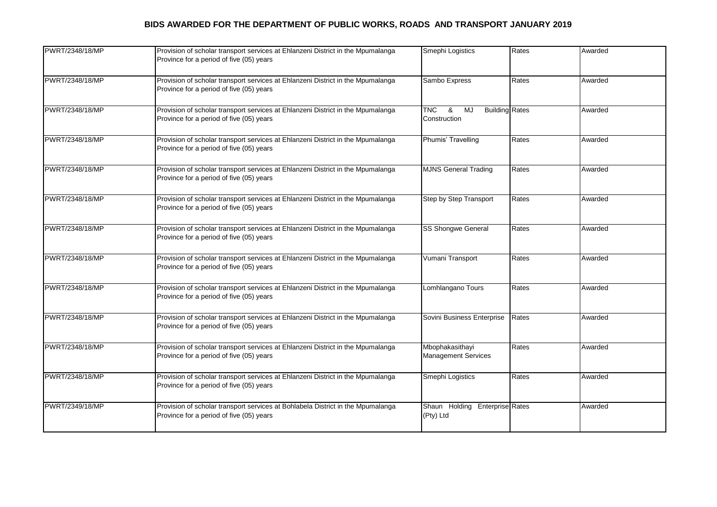| PWRT/2348/18/MP | Provision of scholar transport services at Ehlanzeni District in the Mpumalanga<br>Province for a period of five (05) years | Smephi Logistics                                               | Rates | Awarded |
|-----------------|-----------------------------------------------------------------------------------------------------------------------------|----------------------------------------------------------------|-------|---------|
| PWRT/2348/18/MP | Provision of scholar transport services at Ehlanzeni District in the Mpumalanga<br>Province for a period of five (05) years | Sambo Express                                                  | Rates | Awarded |
| PWRT/2348/18/MP | Provision of scholar transport services at Ehlanzeni District in the Mpumalanga<br>Province for a period of five (05) years | <b>TNC</b><br>&<br>MJ<br><b>Building Rates</b><br>Construction |       | Awarded |
| PWRT/2348/18/MP | Provision of scholar transport services at Ehlanzeni District in the Mpumalanga<br>Province for a period of five (05) years | Phumis' Travelling                                             | Rates | Awarded |
| PWRT/2348/18/MP | Provision of scholar transport services at Ehlanzeni District in the Mpumalanga<br>Province for a period of five (05) years | <b>MJNS General Trading</b>                                    | Rates | Awarded |
| PWRT/2348/18/MP | Provision of scholar transport services at Ehlanzeni District in the Mpumalanga<br>Province for a period of five (05) years | <b>Step by Step Transport</b>                                  | Rates | Awarded |
| PWRT/2348/18/MP | Provision of scholar transport services at Ehlanzeni District in the Mpumalanga<br>Province for a period of five (05) years | <b>SS Shongwe General</b>                                      | Rates | Awarded |
| PWRT/2348/18/MP | Provision of scholar transport services at Ehlanzeni District in the Mpumalanga<br>Province for a period of five (05) years | Vumani Transport                                               | Rates | Awarded |
| PWRT/2348/18/MP | Provision of scholar transport services at Ehlanzeni District in the Mpumalanga<br>Province for a period of five (05) years | Lomhlangano Tours                                              | Rates | Awarded |
| PWRT/2348/18/MP | Provision of scholar transport services at Ehlanzeni District in the Mpumalanga<br>Province for a period of five (05) years | Sovini Business Enterprise                                     | Rates | Awarded |
| PWRT/2348/18/MP | Provision of scholar transport services at Ehlanzeni District in the Mpumalanga<br>Province for a period of five (05) years | Mbophakasithayi<br><b>Management Services</b>                  | Rates | Awarded |
| PWRT/2348/18/MP | Provision of scholar transport services at Ehlanzeni District in the Mpumalanga<br>Province for a period of five (05) years | Smephi Logistics                                               | Rates | Awarded |
| PWRT/2349/18/MP | Provision of scholar transport services at Bohlabela District in the Mpumalanga<br>Province for a period of five (05) years | Shaun Holding Enterprise Rates<br>(Pty) Ltd                    |       | Awarded |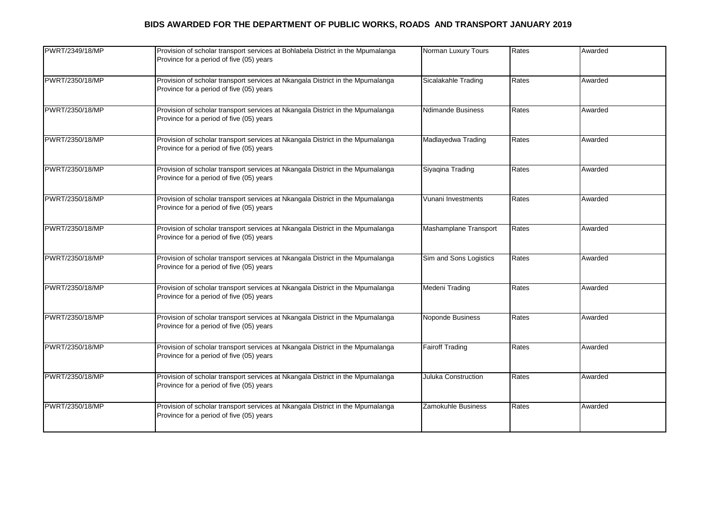| PWRT/2349/18/MP | Provision of scholar transport services at Bohlabela District in the Mpumalanga<br>Province for a period of five (05) years | Norman Luxury Tours      | Rates | Awarded |
|-----------------|-----------------------------------------------------------------------------------------------------------------------------|--------------------------|-------|---------|
| PWRT/2350/18/MP | Provision of scholar transport services at Nkangala District in the Mpumalanga<br>Province for a period of five (05) years  | Sicalakahle Trading      | Rates | Awarded |
| PWRT/2350/18/MP | Provision of scholar transport services at Nkangala District in the Mpumalanga<br>Province for a period of five (05) years  | <b>Ndimande Business</b> | Rates | Awarded |
| PWRT/2350/18/MP | Provision of scholar transport services at Nkangala District in the Mpumalanga<br>Province for a period of five (05) years  | Madlayedwa Trading       | Rates | Awarded |
| PWRT/2350/18/MP | Provision of scholar transport services at Nkangala District in the Mpumalanga<br>Province for a period of five (05) years  | Siyaqina Trading         | Rates | Awarded |
| PWRT/2350/18/MP | Provision of scholar transport services at Nkangala District in the Mpumalanga<br>Province for a period of five (05) years  | Vunani Investments       | Rates | Awarded |
| PWRT/2350/18/MP | Provision of scholar transport services at Nkangala District in the Mpumalanga<br>Province for a period of five (05) years  | Mashamplane Transport    | Rates | Awarded |
| PWRT/2350/18/MP | Provision of scholar transport services at Nkangala District in the Mpumalanga<br>Province for a period of five (05) years  | Sim and Sons Logistics   | Rates | Awarded |
| PWRT/2350/18/MP | Provision of scholar transport services at Nkangala District in the Mpumalanga<br>Province for a period of five (05) years  | Medeni Trading           | Rates | Awarded |
| PWRT/2350/18/MP | Provision of scholar transport services at Nkangala District in the Mpumalanga<br>Province for a period of five (05) years  | <b>Noponde Business</b>  | Rates | Awarded |
| PWRT/2350/18/MP | Provision of scholar transport services at Nkangala District in the Mpumalanga<br>Province for a period of five (05) years  | <b>Fairoff Trading</b>   | Rates | Awarded |
| PWRT/2350/18/MP | Provision of scholar transport services at Nkangala District in the Mpumalanga<br>Province for a period of five (05) years  | Juluka Construction      | Rates | Awarded |
| PWRT/2350/18/MP | Provision of scholar transport services at Nkangala District in the Mpumalanga<br>Province for a period of five (05) years  | Zamokuhle Business       | Rates | Awarded |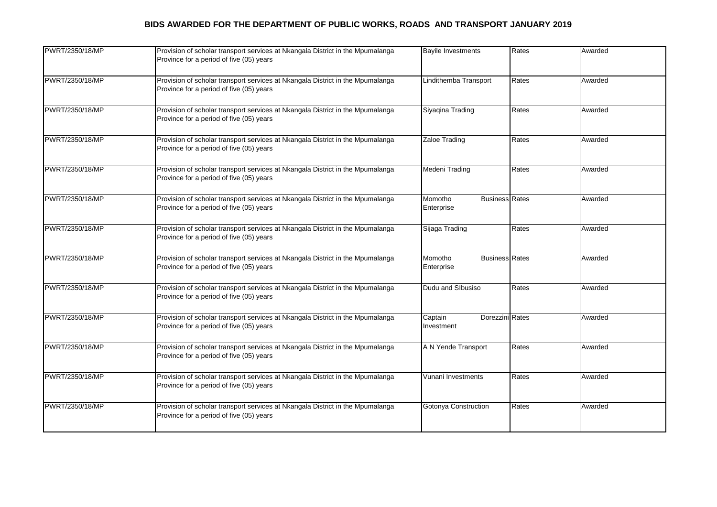| PWRT/2350/18/MP | Provision of scholar transport services at Nkangala District in the Mpumalanga<br>Province for a period of five (05) years | <b>Bayile Investments</b>                      | Rates | Awarded |
|-----------------|----------------------------------------------------------------------------------------------------------------------------|------------------------------------------------|-------|---------|
| PWRT/2350/18/MP | Provision of scholar transport services at Nkangala District in the Mpumalanga<br>Province for a period of five (05) years | Lindithemba Transport                          | Rates | Awarded |
| PWRT/2350/18/MP | Provision of scholar transport services at Nkangala District in the Mpumalanga<br>Province for a period of five (05) years | Siyagina Trading                               | Rates | Awarded |
| PWRT/2350/18/MP | Provision of scholar transport services at Nkangala District in the Mpumalanga<br>Province for a period of five (05) years | Zaloe Trading                                  | Rates | Awarded |
| PWRT/2350/18/MP | Provision of scholar transport services at Nkangala District in the Mpumalanga<br>Province for a period of five (05) years | Medeni Trading                                 | Rates | Awarded |
| PWRT/2350/18/MP | Provision of scholar transport services at Nkangala District in the Mpumalanga<br>Province for a period of five (05) years | Momotho<br><b>Business Rates</b><br>Enterprise |       | Awarded |
| PWRT/2350/18/MP | Provision of scholar transport services at Nkangala District in the Mpumalanga<br>Province for a period of five (05) years | Sijaga Trading                                 | Rates | Awarded |
| PWRT/2350/18/MP | Provision of scholar transport services at Nkangala District in the Mpumalanga<br>Province for a period of five (05) years | <b>Business Rates</b><br>Momotho<br>Enterprise |       | Awarded |
| PWRT/2350/18/MP | Provision of scholar transport services at Nkangala District in the Mpumalanga<br>Province for a period of five (05) years | Dudu and Slbusiso                              | Rates | Awarded |
| PWRT/2350/18/MP | Provision of scholar transport services at Nkangala District in the Mpumalanga<br>Province for a period of five (05) years | Dorezzini Rates<br>Captain<br>Investment       |       | Awarded |
| PWRT/2350/18/MP | Provision of scholar transport services at Nkangala District in the Mpumalanga<br>Province for a period of five (05) years | A N Yende Transport                            | Rates | Awarded |
| PWRT/2350/18/MP | Provision of scholar transport services at Nkangala District in the Mpumalanga<br>Province for a period of five (05) years | Vunani Investments                             | Rates | Awarded |
| PWRT/2350/18/MP | Provision of scholar transport services at Nkangala District in the Mpumalanga<br>Province for a period of five (05) years | Gotonya Construction                           | Rates | Awarded |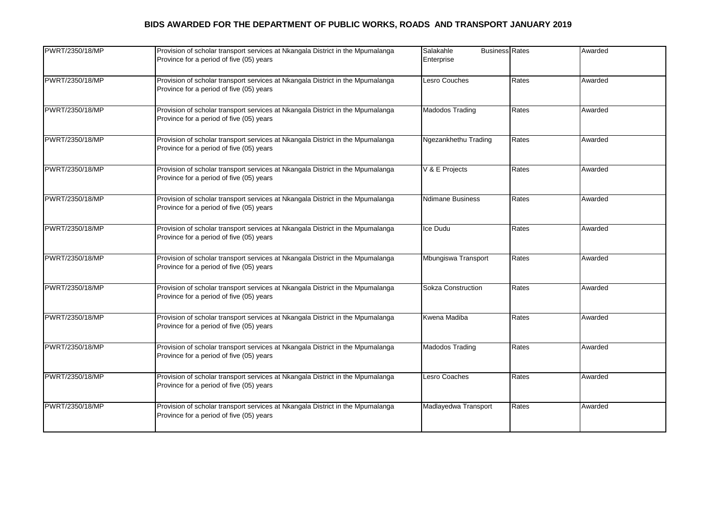| PWRT/2350/18/MP | Provision of scholar transport services at Nkangala District in the Mpumalanga<br>Province for a period of five (05) years | Salakahle<br><b>Business Rates</b><br>Enterprise |       | Awarded |
|-----------------|----------------------------------------------------------------------------------------------------------------------------|--------------------------------------------------|-------|---------|
| PWRT/2350/18/MP | Provision of scholar transport services at Nkangala District in the Mpumalanga<br>Province for a period of five (05) years | Lesro Couches                                    | Rates | Awarded |
| PWRT/2350/18/MP | Provision of scholar transport services at Nkangala District in the Mpumalanga<br>Province for a period of five (05) years | Madodos Trading                                  | Rates | Awarded |
| PWRT/2350/18/MP | Provision of scholar transport services at Nkangala District in the Mpumalanga<br>Province for a period of five (05) years | Ngezankhethu Trading                             | Rates | Awarded |
| PWRT/2350/18/MP | Provision of scholar transport services at Nkangala District in the Mpumalanga<br>Province for a period of five (05) years | V & E Projects                                   | Rates | Awarded |
| PWRT/2350/18/MP | Provision of scholar transport services at Nkangala District in the Mpumalanga<br>Province for a period of five (05) years | <b>Ndimane Business</b>                          | Rates | Awarded |
| PWRT/2350/18/MP | Provision of scholar transport services at Nkangala District in the Mpumalanga<br>Province for a period of five (05) years | Ice Dudu                                         | Rates | Awarded |
| PWRT/2350/18/MP | Provision of scholar transport services at Nkangala District in the Mpumalanga<br>Province for a period of five (05) years | Mbungiswa Transport                              | Rates | Awarded |
| PWRT/2350/18/MP | Provision of scholar transport services at Nkangala District in the Mpumalanga<br>Province for a period of five (05) years | Sokza Construction                               | Rates | Awarded |
| PWRT/2350/18/MP | Provision of scholar transport services at Nkangala District in the Mpumalanga<br>Province for a period of five (05) years | Kwena Madiba                                     | Rates | Awarded |
| PWRT/2350/18/MP | Provision of scholar transport services at Nkangala District in the Mpumalanga<br>Province for a period of five (05) years | Madodos Trading                                  | Rates | Awarded |
| PWRT/2350/18/MP | Provision of scholar transport services at Nkangala District in the Mpumalanga<br>Province for a period of five (05) years | Lesro Coaches                                    | Rates | Awarded |
| PWRT/2350/18/MP | Provision of scholar transport services at Nkangala District in the Mpumalanga<br>Province for a period of five (05) years | Madlayedwa Transport                             | Rates | Awarded |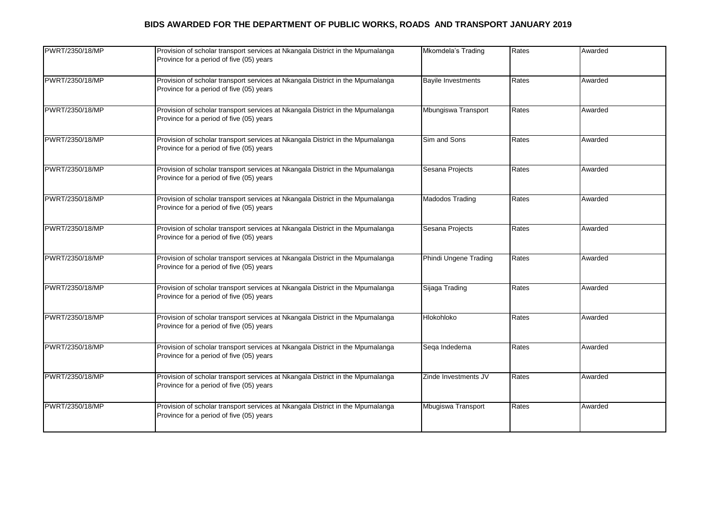| PWRT/2350/18/MP | Provision of scholar transport services at Nkangala District in the Mpumalanga<br>Province for a period of five (05) years | Mkomdela's Trading        | Rates | Awarded |
|-----------------|----------------------------------------------------------------------------------------------------------------------------|---------------------------|-------|---------|
| PWRT/2350/18/MP | Provision of scholar transport services at Nkangala District in the Mpumalanga<br>Province for a period of five (05) years | <b>Bayile Investments</b> | Rates | Awarded |
| PWRT/2350/18/MP | Provision of scholar transport services at Nkangala District in the Mpumalanga<br>Province for a period of five (05) years | Mbungiswa Transport       | Rates | Awarded |
| PWRT/2350/18/MP | Provision of scholar transport services at Nkangala District in the Mpumalanga<br>Province for a period of five (05) years | Sim and Sons              | Rates | Awarded |
| PWRT/2350/18/MP | Provision of scholar transport services at Nkangala District in the Mpumalanga<br>Province for a period of five (05) years | Sesana Projects           | Rates | Awarded |
| PWRT/2350/18/MP | Provision of scholar transport services at Nkangala District in the Mpumalanga<br>Province for a period of five (05) years | Madodos Trading           | Rates | Awarded |
| PWRT/2350/18/MP | Provision of scholar transport services at Nkangala District in the Mpumalanga<br>Province for a period of five (05) years | Sesana Projects           | Rates | Awarded |
| PWRT/2350/18/MP | Provision of scholar transport services at Nkangala District in the Mpumalanga<br>Province for a period of five (05) years | Phindi Ungene Trading     | Rates | Awarded |
| PWRT/2350/18/MP | Provision of scholar transport services at Nkangala District in the Mpumalanga<br>Province for a period of five (05) years | Sijaga Trading            | Rates | Awarded |
| PWRT/2350/18/MP | Provision of scholar transport services at Nkangala District in the Mpumalanga<br>Province for a period of five (05) years | Hlokohloko                | Rates | Awarded |
| PWRT/2350/18/MP | Provision of scholar transport services at Nkangala District in the Mpumalanga<br>Province for a period of five (05) years | Sega Indedema             | Rates | Awarded |
| PWRT/2350/18/MP | Provision of scholar transport services at Nkangala District in the Mpumalanga<br>Province for a period of five (05) years | Zinde Investments JV      | Rates | Awarded |
| PWRT/2350/18/MP | Provision of scholar transport services at Nkangala District in the Mpumalanga<br>Province for a period of five (05) years | Mbugiswa Transport        | Rates | Awarded |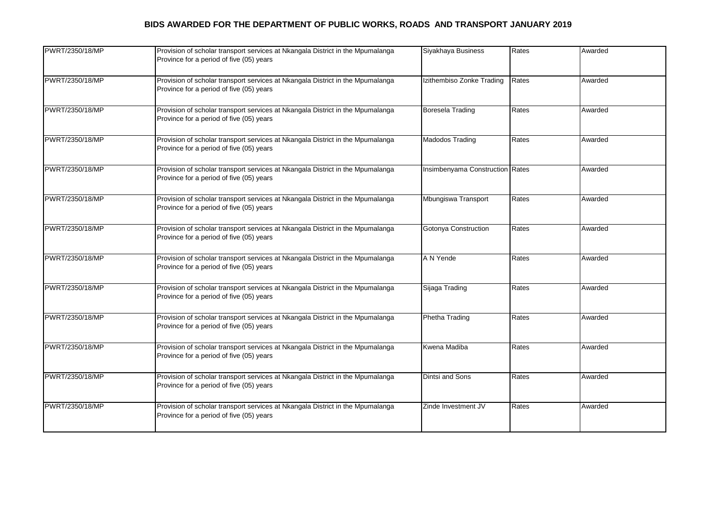| PWRT/2350/18/MP | Provision of scholar transport services at Nkangala District in the Mpumalanga<br>Province for a period of five (05) years | Siyakhaya Business              | Rates | Awarded |
|-----------------|----------------------------------------------------------------------------------------------------------------------------|---------------------------------|-------|---------|
| PWRT/2350/18/MP | Provision of scholar transport services at Nkangala District in the Mpumalanga<br>Province for a period of five (05) years | Izithembiso Zonke Trading       | Rates | Awarded |
| PWRT/2350/18/MP | Provision of scholar transport services at Nkangala District in the Mpumalanga<br>Province for a period of five (05) years | Boresela Trading                | Rates | Awarded |
| PWRT/2350/18/MP | Provision of scholar transport services at Nkangala District in the Mpumalanga<br>Province for a period of five (05) years | Madodos Trading                 | Rates | Awarded |
| PWRT/2350/18/MP | Provision of scholar transport services at Nkangala District in the Mpumalanga<br>Province for a period of five (05) years | Insimbenyama Construction Rates |       | Awarded |
| PWRT/2350/18/MP | Provision of scholar transport services at Nkangala District in the Mpumalanga<br>Province for a period of five (05) years | Mbungiswa Transport             | Rates | Awarded |
| PWRT/2350/18/MP | Provision of scholar transport services at Nkangala District in the Mpumalanga<br>Province for a period of five (05) years | Gotonya Construction            | Rates | Awarded |
| PWRT/2350/18/MP | Provision of scholar transport services at Nkangala District in the Mpumalanga<br>Province for a period of five (05) years | A N Yende                       | Rates | Awarded |
| PWRT/2350/18/MP | Provision of scholar transport services at Nkangala District in the Mpumalanga<br>Province for a period of five (05) years | Sijaga Trading                  | Rates | Awarded |
| PWRT/2350/18/MP | Provision of scholar transport services at Nkangala District in the Mpumalanga<br>Province for a period of five (05) years | Phetha Trading                  | Rates | Awarded |
| PWRT/2350/18/MP | Provision of scholar transport services at Nkangala District in the Mpumalanga<br>Province for a period of five (05) years | Kwena Madiba                    | Rates | Awarded |
| PWRT/2350/18/MP | Provision of scholar transport services at Nkangala District in the Mpumalanga<br>Province for a period of five (05) years | Dintsi and Sons                 | Rates | Awarded |
| PWRT/2350/18/MP | Provision of scholar transport services at Nkangala District in the Mpumalanga<br>Province for a period of five (05) years | Zinde Investment JV             | Rates | Awarded |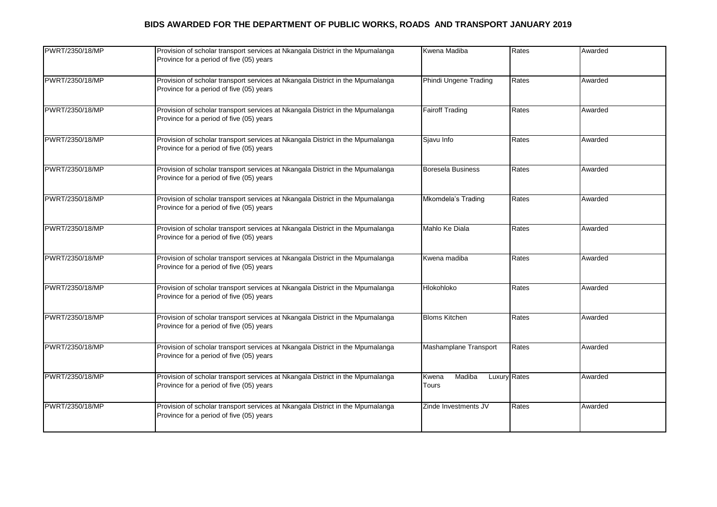| PWRT/2350/18/MP | Provision of scholar transport services at Nkangala District in the Mpumalanga<br>Province for a period of five (05) years | Kwena Madiba                                    | Rates | Awarded |
|-----------------|----------------------------------------------------------------------------------------------------------------------------|-------------------------------------------------|-------|---------|
| PWRT/2350/18/MP | Provision of scholar transport services at Nkangala District in the Mpumalanga<br>Province for a period of five (05) years | Phindi Ungene Trading                           | Rates | Awarded |
| PWRT/2350/18/MP | Provision of scholar transport services at Nkangala District in the Mpumalanga<br>Province for a period of five (05) years | <b>Fairoff Trading</b>                          | Rates | Awarded |
| PWRT/2350/18/MP | Provision of scholar transport services at Nkangala District in the Mpumalanga<br>Province for a period of five (05) years | Sjavu Info                                      | Rates | Awarded |
| PWRT/2350/18/MP | Provision of scholar transport services at Nkangala District in the Mpumalanga<br>Province for a period of five (05) years | <b>Boresela Business</b>                        | Rates | Awarded |
| PWRT/2350/18/MP | Provision of scholar transport services at Nkangala District in the Mpumalanga<br>Province for a period of five (05) years | <b>Mkomdela's Trading</b>                       | Rates | Awarded |
| PWRT/2350/18/MP | Provision of scholar transport services at Nkangala District in the Mpumalanga<br>Province for a period of five (05) years | Mahlo Ke Diala                                  | Rates | Awarded |
| PWRT/2350/18/MP | Provision of scholar transport services at Nkangala District in the Mpumalanga<br>Province for a period of five (05) years | Kwena madiba                                    | Rates | Awarded |
| PWRT/2350/18/MP | Provision of scholar transport services at Nkangala District in the Mpumalanga<br>Province for a period of five (05) years | Hlokohloko                                      | Rates | Awarded |
| PWRT/2350/18/MP | Provision of scholar transport services at Nkangala District in the Mpumalanga<br>Province for a period of five (05) years | <b>Bloms Kitchen</b>                            | Rates | Awarded |
| PWRT/2350/18/MP | Provision of scholar transport services at Nkangala District in the Mpumalanga<br>Province for a period of five (05) years | Mashamplane Transport                           | Rates | Awarded |
| PWRT/2350/18/MP | Provision of scholar transport services at Nkangala District in the Mpumalanga<br>Province for a period of five (05) years | Madiba<br><b>Luxury Rates</b><br>Kwena<br>Tours |       | Awarded |
| PWRT/2350/18/MP | Provision of scholar transport services at Nkangala District in the Mpumalanga<br>Province for a period of five (05) years | Zinde Investments JV                            | Rates | Awarded |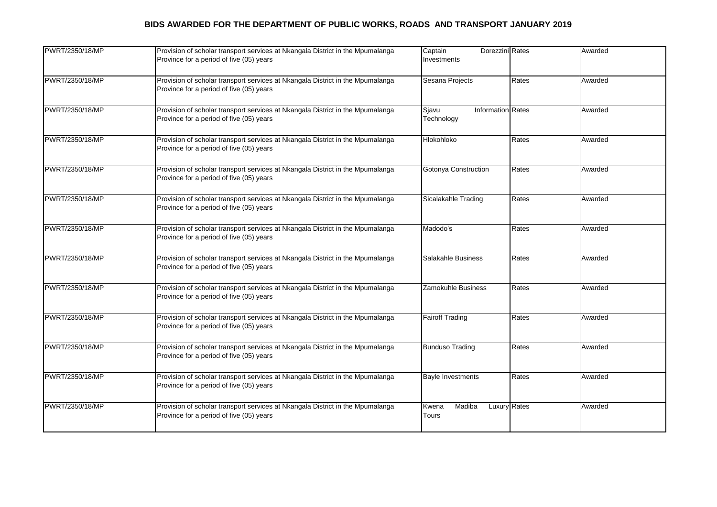| PWRT/2350/18/MP | Provision of scholar transport services at Nkangala District in the Mpumalanga<br>Province for a period of five (05) years | Dorezzini Rates<br>Captain<br>Investments       |       | Awarded |
|-----------------|----------------------------------------------------------------------------------------------------------------------------|-------------------------------------------------|-------|---------|
| PWRT/2350/18/MP | Provision of scholar transport services at Nkangala District in the Mpumalanga<br>Province for a period of five (05) years | Sesana Projects                                 | Rates | Awarded |
| PWRT/2350/18/MP | Provision of scholar transport services at Nkangala District in the Mpumalanga<br>Province for a period of five (05) years | <b>Information Rates</b><br>Sjavu<br>Technology |       | Awarded |
| PWRT/2350/18/MP | Provision of scholar transport services at Nkangala District in the Mpumalanga<br>Province for a period of five (05) years | Hlokohloko                                      | Rates | Awarded |
| PWRT/2350/18/MP | Provision of scholar transport services at Nkangala District in the Mpumalanga<br>Province for a period of five (05) years | Gotonya Construction                            | Rates | Awarded |
| PWRT/2350/18/MP | Provision of scholar transport services at Nkangala District in the Mpumalanga<br>Province for a period of five (05) years | Sicalakahle Trading                             | Rates | Awarded |
| PWRT/2350/18/MP | Provision of scholar transport services at Nkangala District in the Mpumalanga<br>Province for a period of five (05) years | Madodo's                                        | Rates | Awarded |
| PWRT/2350/18/MP | Provision of scholar transport services at Nkangala District in the Mpumalanga<br>Province for a period of five (05) years | Salakahle Business                              | Rates | Awarded |
| PWRT/2350/18/MP | Provision of scholar transport services at Nkangala District in the Mpumalanga<br>Province for a period of five (05) years | Zamokuhle Business                              | Rates | Awarded |
| PWRT/2350/18/MP | Provision of scholar transport services at Nkangala District in the Mpumalanga<br>Province for a period of five (05) years | <b>Fairoff Trading</b>                          | Rates | Awarded |
| PWRT/2350/18/MP | Provision of scholar transport services at Nkangala District in the Mpumalanga<br>Province for a period of five (05) years | <b>Bunduso Trading</b>                          | Rates | Awarded |
| PWRT/2350/18/MP | Provision of scholar transport services at Nkangala District in the Mpumalanga<br>Province for a period of five (05) years | <b>Bayle Investments</b>                        | Rates | Awarded |
| PWRT/2350/18/MP | Provision of scholar transport services at Nkangala District in the Mpumalanga<br>Province for a period of five (05) years | Madiba<br>Luxury Rates<br>Kwena<br>Tours        |       | Awarded |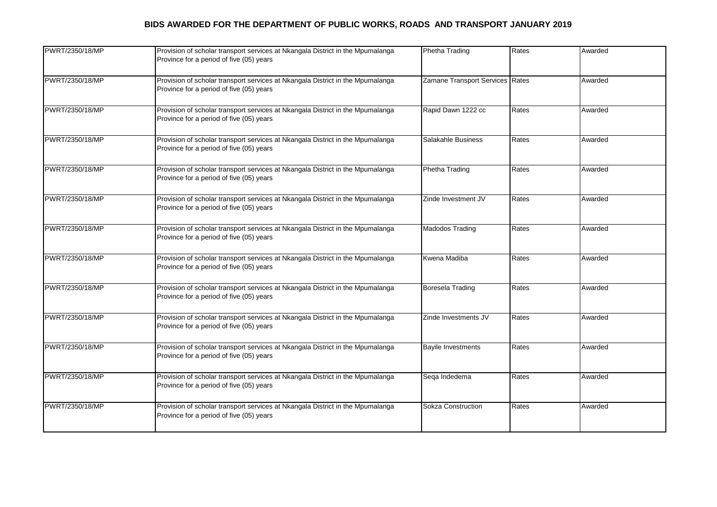| PWRT/2350/18/MP | Provision of scholar transport services at Nkangala District in the Mpumalanga<br>Province for a period of five (05) years | Phetha Trading                  | Rates | Awarded |
|-----------------|----------------------------------------------------------------------------------------------------------------------------|---------------------------------|-------|---------|
| PWRT/2350/18/MP | Provision of scholar transport services at Nkangala District in the Mpumalanga<br>Province for a period of five (05) years | Zamane Transport Services Rates |       | Awarded |
| PWRT/2350/18/MP | Provision of scholar transport services at Nkangala District in the Mpumalanga<br>Province for a period of five (05) years | Rapid Dawn 1222 cc              | Rates | Awarded |
| PWRT/2350/18/MP | Provision of scholar transport services at Nkangala District in the Mpumalanga<br>Province for a period of five (05) years | Salakahle Business              | Rates | Awarded |
| PWRT/2350/18/MP | Provision of scholar transport services at Nkangala District in the Mpumalanga<br>Province for a period of five (05) years | Phetha Trading                  | Rates | Awarded |
| PWRT/2350/18/MP | Provision of scholar transport services at Nkangala District in the Mpumalanga<br>Province for a period of five (05) years | Zinde Investment JV             | Rates | Awarded |
| PWRT/2350/18/MP | Provision of scholar transport services at Nkangala District in the Mpumalanga<br>Province for a period of five (05) years | Madodos Trading                 | Rates | Awarded |
| PWRT/2350/18/MP | Provision of scholar transport services at Nkangala District in the Mpumalanga<br>Province for a period of five (05) years | Kwena Madiba                    | Rates | Awarded |
| PWRT/2350/18/MP | Provision of scholar transport services at Nkangala District in the Mpumalanga<br>Province for a period of five (05) years | <b>Boresela Trading</b>         | Rates | Awarded |
| PWRT/2350/18/MP | Provision of scholar transport services at Nkangala District in the Mpumalanga<br>Province for a period of five (05) years | Zinde Investments JV            | Rates | Awarded |
| PWRT/2350/18/MP | Provision of scholar transport services at Nkangala District in the Mpumalanga<br>Province for a period of five (05) years | <b>Bayile Investments</b>       | Rates | Awarded |
| PWRT/2350/18/MP | Provision of scholar transport services at Nkangala District in the Mpumalanga<br>Province for a period of five (05) years | Sega Indedema                   | Rates | Awarded |
| PWRT/2350/18/MP | Provision of scholar transport services at Nkangala District in the Mpumalanga<br>Province for a period of five (05) years | Sokza Construction              | Rates | Awarded |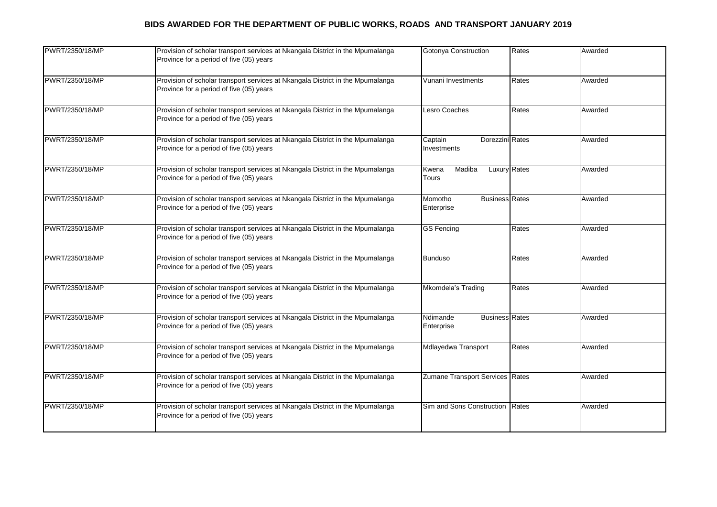| PWRT/2350/18/MP | Provision of scholar transport services at Nkangala District in the Mpumalanga<br>Province for a period of five (05) years | Gotonya Construction                            | Rates | Awarded |
|-----------------|----------------------------------------------------------------------------------------------------------------------------|-------------------------------------------------|-------|---------|
| PWRT/2350/18/MP | Provision of scholar transport services at Nkangala District in the Mpumalanga<br>Province for a period of five (05) years | Vunani Investments                              | Rates | Awarded |
| PWRT/2350/18/MP | Provision of scholar transport services at Nkangala District in the Mpumalanga<br>Province for a period of five (05) years | Lesro Coaches                                   | Rates | Awarded |
| PWRT/2350/18/MP | Provision of scholar transport services at Nkangala District in the Mpumalanga<br>Province for a period of five (05) years | Dorezzini Rates<br>Captain<br>Investments       |       | Awarded |
| PWRT/2350/18/MP | Provision of scholar transport services at Nkangala District in the Mpumalanga<br>Province for a period of five (05) years | <b>Luxury Rates</b><br>Madiba<br>Kwena<br>Tours |       | Awarded |
| PWRT/2350/18/MP | Provision of scholar transport services at Nkangala District in the Mpumalanga<br>Province for a period of five (05) years | <b>Business Rates</b><br>Momotho<br>Enterprise  |       | Awarded |
| PWRT/2350/18/MP | Provision of scholar transport services at Nkangala District in the Mpumalanga<br>Province for a period of five (05) years | <b>GS Fencing</b>                               | Rates | Awarded |
| PWRT/2350/18/MP | Provision of scholar transport services at Nkangala District in the Mpumalanga<br>Province for a period of five (05) years | <b>Bunduso</b>                                  | Rates | Awarded |
| PWRT/2350/18/MP | Provision of scholar transport services at Nkangala District in the Mpumalanga<br>Province for a period of five (05) years | Mkomdela's Trading                              | Rates | Awarded |
| PWRT/2350/18/MP | Provision of scholar transport services at Nkangala District in the Mpumalanga<br>Province for a period of five (05) years | Ndimande<br><b>Business Rates</b><br>Enterprise |       | Awarded |
| PWRT/2350/18/MP | Provision of scholar transport services at Nkangala District in the Mpumalanga<br>Province for a period of five (05) years | Mdlayedwa Transport                             | Rates | Awarded |
| PWRT/2350/18/MP | Provision of scholar transport services at Nkangala District in the Mpumalanga<br>Province for a period of five (05) years | Zumane Transport Services Rates                 |       | Awarded |
| PWRT/2350/18/MP | Provision of scholar transport services at Nkangala District in the Mpumalanga<br>Province for a period of five (05) years | Sim and Sons Construction Rates                 |       | Awarded |